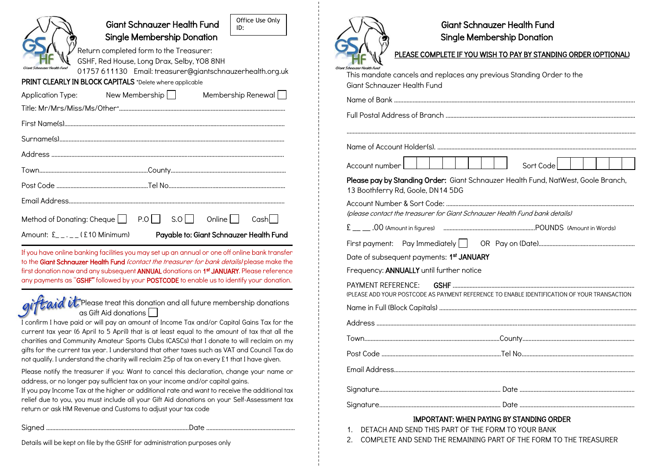|                                | R |
|--------------------------------|---|
|                                | G |
| Grad<br>Giort Schoolmer Haalth |   |

Giant Schnauzer Health Fund Single Membership Donation

 Return completed form to the Treasurer: GSHF, Red House, Long Drax, Selby, YO8 8NH 01757 611130 Email: treasurer@giantschnauzerhealth.org.uk

Office Use Only

ID:

PRINT CLEARLY IN BLOCK CAPITALS \*Delete where applicable

| <b>Application Type:</b>                         | New Membership | Membership Renewal                      |  |
|--------------------------------------------------|----------------|-----------------------------------------|--|
|                                                  |                |                                         |  |
|                                                  |                |                                         |  |
|                                                  |                |                                         |  |
|                                                  |                |                                         |  |
|                                                  |                |                                         |  |
|                                                  |                |                                         |  |
|                                                  |                |                                         |  |
| Method of Donating: Cheque P.O. S.O. Online Cash |                |                                         |  |
| Amount: $E_{-,-,-}(E10$ Minimum)                 |                | Payable to: Giant Schnauzer Health Fund |  |

If you have online banking facilities you may set up an annual or one off online bank transfer to the Giant Schnauzer Health Fund (contact the treasurer for bank details) please make the first donation now and any subsequent ANNUAL donations on 1st JANUARY. Please reference any payments as "GSHF" followed by your POSTCODE to enable us to identify your donation.

 $enid$  in Please treat this donation and all future membership donations as Gift Aid donations

I confirm I have paid or will pay an amount of Income Tax and/or Capital Gains Tax for the current tax year (6 April to 5 April) that is at least equal to the amount of tax that all the charities and Community Amateur Sports Clubs (CASCs) that I donate to will reclaim on my gifts for the current tax year. I understand that other taxes such as VAT and Council Tax do not qualify. I understand the charity will reclaim 25p of tax on every £1 that I have given.

Please notify the treasurer if you: Want to cancel this declaration, change your name or address, or no longer pay sufficient tax on your income and/or capital gains.

If you pay Income Tax at the higher or additional rate and want to receive the additional tax relief due to you, you must include all your Gift Aid donations on your Self-Assessment tax return or ask HM Revenue and Customs to adjust your tax code

Signed ………………………………………………………………………………..Date ..……………….……...………………………

Details will be kept on file by the GSHF for administration purposes only



# Giant Schnauzer Health Fund Single Membership Donation

# PLEASE COMPLETE IF YOU WISH TO PAY BY STANDING ORDER (OPTIONAL)

| Schnauzer Health Fund<br>This mandate cancels and replaces any previous Standing Order to the<br>Giant Schnauzer Health Fund |
|------------------------------------------------------------------------------------------------------------------------------|
|                                                                                                                              |
|                                                                                                                              |
|                                                                                                                              |
|                                                                                                                              |
| Sort Code                                                                                                                    |
| Please pay by Standing Order: Giant Schnauzer Health Fund, NatWest, Goole Branch,<br>13 Boothferry Rd, Goole, DN14 5DG       |
| (please contact the treasurer for Giant Schnauzer Health Fund bank details)                                                  |
|                                                                                                                              |
|                                                                                                                              |
| Date of subsequent payments: 1st JANUARY                                                                                     |
| Frequency: ANNUALLY until further notice                                                                                     |
| <b>PAYMENT REFERENCE:</b><br>(PLEASE ADD YOUR POSTCODE AS PAYMENT REFERENCE TO ENABLE IDENTIFICATION OF YOUR TRANSACTION     |
|                                                                                                                              |
|                                                                                                                              |
|                                                                                                                              |
|                                                                                                                              |
|                                                                                                                              |
|                                                                                                                              |
|                                                                                                                              |

### IMPORTANT: WHEN PAYING BY STANDING ORDER

1. DETACH AND SEND THIS PART OF THE FORM TO YOUR BANK

2. COMPLETE AND SEND THE REMAINING PART OF THE FORM TO THE TREASURER